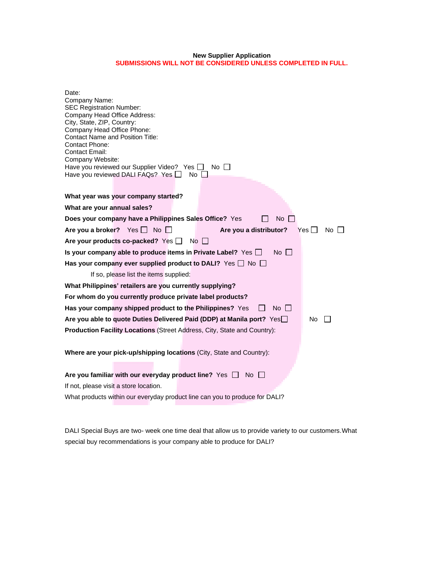## **New Supplier Application SUBMISSIONS WILL NOT BE CONSIDERED UNLESS COMPLETED IN FULL.**

| Date:<br>Company Name:                                                |                                                             |  |                                                                             |       |  |
|-----------------------------------------------------------------------|-------------------------------------------------------------|--|-----------------------------------------------------------------------------|-------|--|
| <b>SEC Registration Number:</b>                                       |                                                             |  |                                                                             |       |  |
| Company Head Office Address:                                          |                                                             |  |                                                                             |       |  |
| City, State, ZIP, Country:<br>Company Head Office Phone:              |                                                             |  |                                                                             |       |  |
| <b>Contact Name and Position Title:</b>                               |                                                             |  |                                                                             |       |  |
| Contact Phone:                                                        |                                                             |  |                                                                             |       |  |
| <b>Contact Email:</b><br>Company Website:                             |                                                             |  |                                                                             |       |  |
|                                                                       | Have you reviewed our Supplier Video? Yes [                 |  | No II                                                                       |       |  |
|                                                                       | Have you reviewed DALI FAQs? Yes No                         |  |                                                                             |       |  |
|                                                                       |                                                             |  |                                                                             |       |  |
|                                                                       | What year was your company started?                         |  |                                                                             |       |  |
| What are your annual sales?                                           |                                                             |  |                                                                             |       |  |
|                                                                       | Does your company have a Philippines Sales Office? Yes      |  | No                                                                          |       |  |
|                                                                       | Are you a broker? Yes $\Box$ No $\Box$                      |  | Are you a distributor? Yes $\Box$                                           | No II |  |
|                                                                       | Are your products co-packed? Yes No                         |  |                                                                             |       |  |
|                                                                       | Is your company able to produce items in Private Label? Yes |  | $No$ $\Box$                                                                 |       |  |
|                                                                       |                                                             |  | Has your company ever supplied product to DALI? Yes $\Box$ No $\Box$        |       |  |
|                                                                       | If so, please list the items supplied:                      |  |                                                                             |       |  |
|                                                                       | What Philippines' retailers are you currently supplying?    |  |                                                                             |       |  |
|                                                                       | For whom do you currently produce private label products?   |  |                                                                             |       |  |
|                                                                       | Has your company shipped product to the Philippines? Yes    |  | No II                                                                       |       |  |
|                                                                       |                                                             |  | Are you able to quote Duties Delivered Paid (DDP) at Manila port? Yes       | No    |  |
|                                                                       |                                                             |  | Production Facility Locations (Street Address, City, State and Country):    |       |  |
|                                                                       |                                                             |  |                                                                             |       |  |
|                                                                       |                                                             |  | Where are your pick-up/shipping locations (City, State and Country):        |       |  |
|                                                                       |                                                             |  |                                                                             |       |  |
| Are you familiar with our everyday product line? Yes $\Box$ No $\Box$ |                                                             |  |                                                                             |       |  |
| If not, please visit a store location.                                |                                                             |  |                                                                             |       |  |
|                                                                       |                                                             |  | What products within our everyday product line can you to produce for DALI? |       |  |
|                                                                       |                                                             |  |                                                                             |       |  |

DALI Special Buys are two- week one time deal that allow us to provide variety to our customers.What special buy recommendations is your company able to produce for DALI?